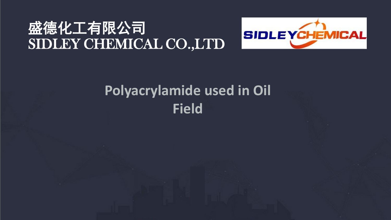# 盛德化工有限公司 SIDLEY CHEMICAL CO.,LTD



# **Polyacrylamide used in Oil Field**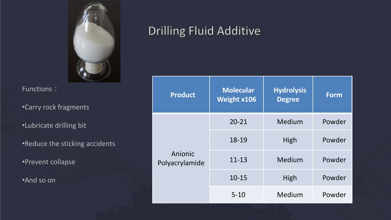

•Carry rock fragments

•Lubricate drilling bit

•Reduce the sticking accidents

•Prevent collapse

•And so on

## Drilling Fluid Additive

| <b>Product</b>            | <b>Molecular</b><br><b>Weight x106</b> | <b>Hydrolysis</b><br><b>Degree</b> | <b>Form</b> |
|---------------------------|----------------------------------------|------------------------------------|-------------|
| Anionic<br>Polyacrylamide | $20 - 21$                              | Medium                             | Powder      |
|                           | 18-19                                  | High                               | Powder      |
|                           | $11 - 13$                              | Medium                             | Powder      |
|                           | $10 - 15$                              | High                               | Powder      |
|                           | $5 - 10$                               | Medium                             | Powder      |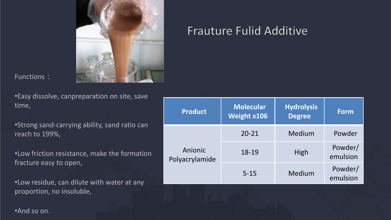

•Easy dissolve, canpreparation on site, save time,

•Strong sand-carrying ability, sand ratio can reach to 199%,

•Low friction resistance, make the formation fracture easy to open,

•Low residue, can dilute with water at any proportion, no insoluble,

#### **Product Molecular Weight x106 Hydrolysis Degree Form** Anionic Polyacrylamide 20-21 Medium Powder 18-19 High Powder/ emulsion 5-15 Medium Powder/ emulsion

Frauture Fulid Additive

•And so on.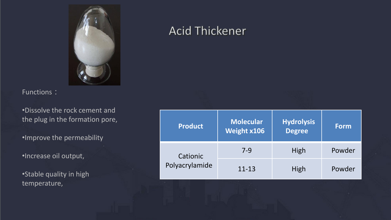

•Dissolve the rock cement and the plug in the formation pore,

•Improve the permeability

•Increase oil output,

•Stable quality in high temperature,

### **Acid Thickener**

| <b>Product</b>             | <b>Molecular</b><br><b>Weight x106</b> | <b>Hydrolysis</b><br><b>Degree</b> | <b>Form</b> |
|----------------------------|----------------------------------------|------------------------------------|-------------|
| Cationic<br>Polyacrylamide | $7-9$                                  | High                               | Powder      |
|                            | $11 - 13$                              | High                               | Powder      |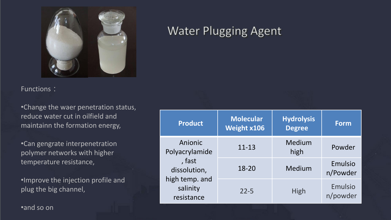

•Change the waer penetration status, reduce water cut in oilfield and maintainn the formation energy,

•Can gengrate interpenetration polymer networks with higher temperature resistance,

•Improve the injection profile and plug the big channel,

**Water Plugging Agent** 

| <b>Product</b>                                                                                  | <b>Molecular</b><br><b>Weight x106</b> | <b>Hydrolysis</b><br><b>Degree</b> | <b>Form</b>         |
|-------------------------------------------------------------------------------------------------|----------------------------------------|------------------------------------|---------------------|
| Anionic<br>Polyacrylamide<br>, fast<br>dissolution,<br>high temp. and<br>salinity<br>resistance | $11 - 13$                              | Medium<br>high                     | Powder              |
|                                                                                                 | 18-20                                  | Medium                             | Emulsio<br>n/Powder |
|                                                                                                 | $22 - 5$                               | High                               | Emulsio<br>n/powder |

•and so on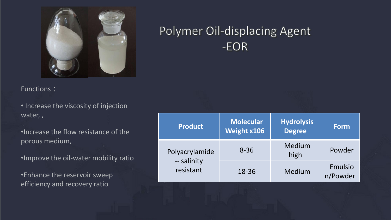![](_page_5_Picture_0.jpeg)

## Polymer Oil-displacing Agent  $-EOR$

Functions :

• Increase the viscosity of injection water, ,

•Increase the flow resistance of the porous medium,

•Improve the oil-water mobility ratio

•Enhance the reservoir sweep efficiency and recovery ratio

| <b>Product</b>                             | <b>Molecular</b><br>Weight x106 | <b>Hydrolysis</b><br><b>Degree</b> | <b>Form</b>         |
|--------------------------------------------|---------------------------------|------------------------------------|---------------------|
| Polyacrylamide<br>-- salinity<br>resistant | $8 - 36$                        | Medium<br>high                     | Powder              |
|                                            | 18-36                           | Medium                             | Emulsio<br>n/Powder |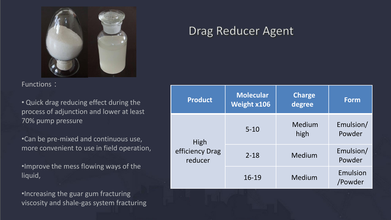![](_page_6_Picture_0.jpeg)

• Quick drag reducing effect during the process of adjunction and lower at least 70% pump pressure

•Can be pre-mixed and continuous use, more convenient to use in field operation,

•Improve the mess flowing ways of the liquid,

•Increasing the guar gum fracturing viscosity and shale -gas system fracturing

### Drag Reducer Agent

| <b>Product</b>                     | <b>Molecular</b><br>Weight x106 | <b>Charge</b><br>degree | <b>Form</b>         |
|------------------------------------|---------------------------------|-------------------------|---------------------|
| High<br>efficiency Drag<br>reducer | $5 - 10$                        | Medium<br>high          | Emulsion/<br>Powder |
|                                    | $2 - 18$                        | Medium                  | Emulsion/<br>Powder |
|                                    | $16 - 19$                       | Medium                  | Emulsion<br>/Powder |